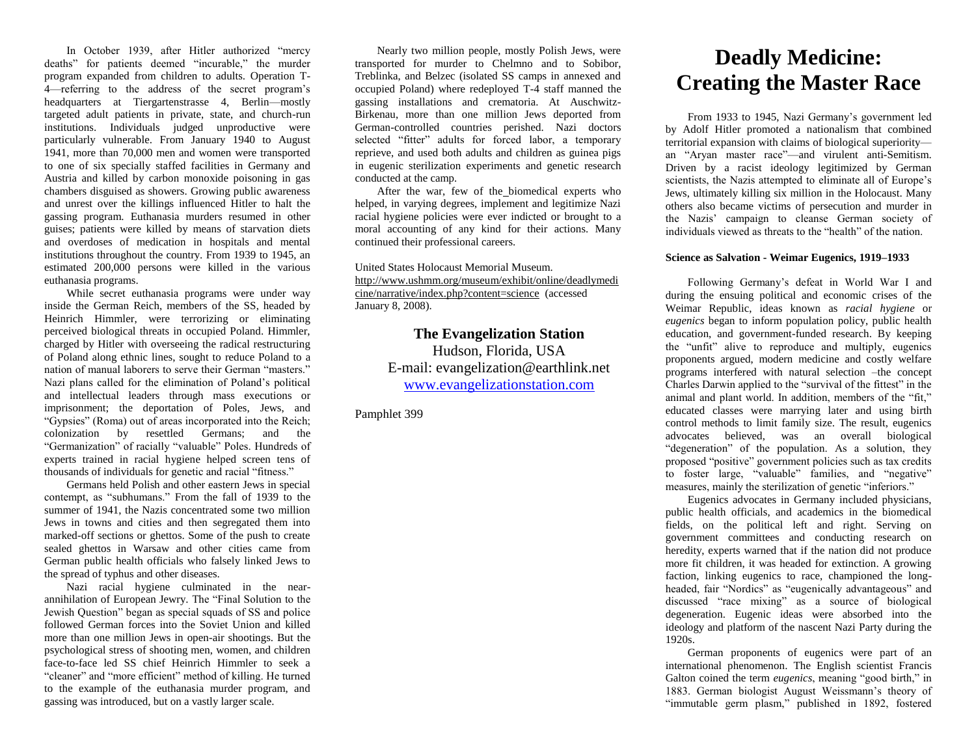In October 1939, after Hitler authorized "mercy deaths" for patients deemed "incurable," the murder program expanded from children to adults. Operation T-4—referring to the address of the secret program's headquarters at Tiergartenstrasse 4, Berlin—mostly targeted adult patients in private, state, and church-run institutions. Individuals judged unproductive were particularly vulnerable. From January 1940 to August 1941, more than 70,000 men and women were transported to one of six specially staffed facilities in Germany and Austria and killed by carbon monoxide poisoning in gas chambers disguised as showers. Growing public awareness and unrest over the killings influenced Hitler to halt the gassing program. Euthanasia murders resumed in other guises; patients were killed by means of starvation diets and overdoses of medication in hospitals and mental institutions throughout the country. From 1939 to 1945, an estimated 200,000 persons were killed in the various euthanasia programs.

While secret euthanasia programs were under way inside the German Reich, members of the SS, headed by Heinrich Himmler, were terrorizing or eliminating perceived biological threats in occupied Poland. Himmler, charged by Hitler with overseeing the radical restructuring of Poland along ethnic lines, sought to reduce Poland to a nation of manual laborers to serve their German "masters." Nazi plans called for the elimination of Poland's political and intellectual leaders through mass executions or imprisonment; the deportation of Poles, Jews, and "Gypsies" (Roma) out of areas incorporated into the Reich; colonization by resettled Germans; and the "Germanization" of racially "valuable" Poles. Hundreds of experts trained in racial hygiene helped screen tens of thousands of individuals for genetic and racial "fitness."

Germans held Polish and other eastern Jews in special contempt, as "subhumans." From the fall of 1939 to the summer of 1941, the Nazis concentrated some two million Jews in towns and cities and then segregated them into marked-off sections or ghettos. Some of the push to create sealed ghettos in Warsaw and other cities came from German public health officials who falsely linked Jews to the spread of typhus and other diseases.

Nazi racial hygiene culminated in the nearannihilation of European Jewry. The "Final Solution to the Jewish Question" began as special squads of SS and police followed German forces into the Soviet Union and killed more than one million Jews in open-air shootings. But the psychological stress of shooting men, women, and children face-to-face led SS chief Heinrich Himmler to seek a "cleaner" and "more efficient" method of killing. He turned to the example of the euthanasia murder program, and gassing was introduced, but on a vastly larger scale.

Nearly two million people, mostly Polish Jews, were transported for murder to Chelmno and to Sobibor, Treblinka, and Belzec (isolated SS camps in annexed and occupied Poland) where redeployed T-4 staff manned the gassing installations and crematoria. At Auschwitz-Birkenau, more than one million Jews deported from German-controlled countries perished. Nazi doctors selected "fitter" adults for forced labor, a temporary reprieve, and used both adults and children as guinea pigs in eugenic sterilization experiments and genetic research conducted at the camp.

After the war, few of the biomedical experts who helped, in varying degrees, implement and legitimize Nazi racial hygiene policies were ever indicted or brought to a moral accounting of any kind for their actions. Many continued their professional careers.

United States Holocaust Memorial Museum. [http://www.ushmm.org/museum/exhibit/online/deadlymedi](http://www.ushmm.org/museum/exhibit/online/deadlymedicine/narrative/index.php?content=science) [cine/narrative/index.php?content=science](http://www.ushmm.org/museum/exhibit/online/deadlymedicine/narrative/index.php?content=science) (accessed January 8, 2008).

> **The Evangelization Station**  Hudson, Florida, USA E-mail: evangelization@earthlink.net [www.evangelizationstation.com](http://www.pjpiisoe.org/)

Pamphlet 399

## **Deadly Medicine: Creating the Master Race**

From 1933 to 1945, Nazi Germany's government led by Adolf Hitler promoted a nationalism that combined territorial expansion with claims of biological superiority an "Aryan master race"—and virulent anti-Semitism. Driven by a racist ideology legitimized by German scientists, the Nazis attempted to eliminate all of Europe's Jews, ultimately killing six million in the Holocaust. Many others also became victims of persecution and murder in the Nazis' campaign to cleanse German society of individuals viewed as threats to the "health" of the nation.

## **Science as Salvation - Weimar Eugenics, 1919–1933**

Following Germany's defeat in World War I and during the ensuing political and economic crises of the Weimar Republic, ideas known as *racial hygiene* or *eugenics* began to inform population policy, public health education, and government-funded research. By keeping the "unfit" alive to reproduce and multiply, eugenics proponents argued, modern medicine and costly welfare programs interfered with natural selection –the concept Charles Darwin applied to the "survival of the fittest" in the animal and plant world. In addition, members of the "fit," educated classes were marrying later and using birth control methods to limit family size. The result, eugenics advocates believed, was an overall biological "degeneration" of the population. As a solution, they proposed "positive" government policies such as tax credits to foster large, "valuable" families, and "negative" measures, mainly the sterilization of genetic "inferiors."

Eugenics advocates in Germany included physicians, public health officials, and academics in the biomedical fields, on the political left and right. Serving on government committees and conducting research on heredity, experts warned that if the nation did not produce more fit children, it was headed for extinction. A growing faction, linking eugenics to race, championed the longheaded, fair "Nordics" as "eugenically advantageous" and discussed "race mixing" as a source of biological degeneration. Eugenic ideas were absorbed into the ideology and platform of the nascent Nazi Party during the 1920s.

German proponents of eugenics were part of an international phenomenon. The English scientist Francis Galton coined the term *eugenics*, meaning "good birth," in 1883. German biologist August Weissmann's theory of "immutable germ plasm," published in 1892, fostered